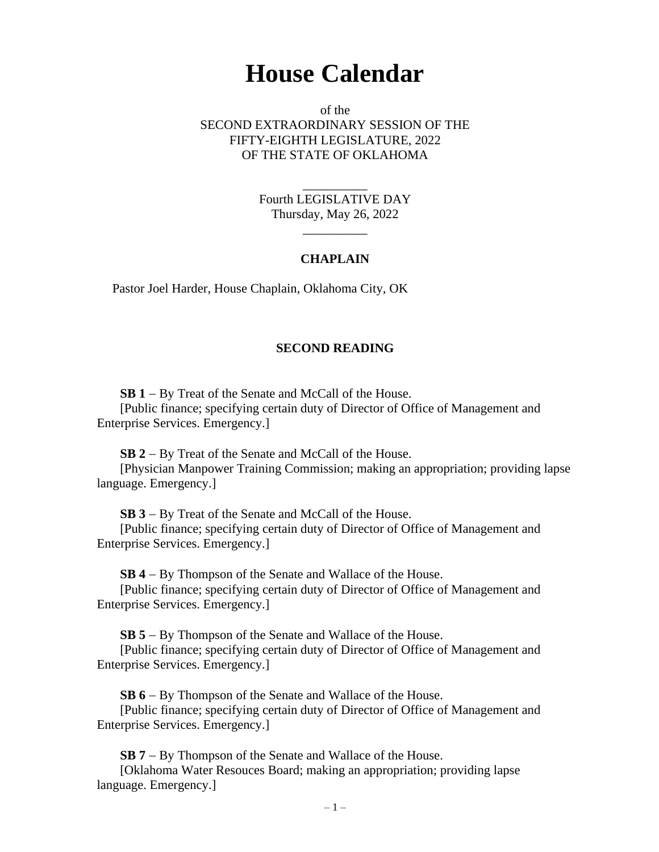## **House Calendar**

of the SECOND EXTRAORDINARY SESSION OF THE FIFTY-EIGHTH LEGISLATURE, 2022 OF THE STATE OF OKLAHOMA

> Fourth LEGISLATIVE DAY Thursday, May 26, 2022

> > $\overline{\phantom{a}}$

\_\_\_\_\_\_\_\_\_\_

## **CHAPLAIN**

Pastor Joel Harder, House Chaplain, Oklahoma City, OK

## **SECOND READING**

**SB 1** − By Treat of the Senate and McCall of the House.

[Public finance; specifying certain duty of Director of Office of Management and Enterprise Services. Emergency.]

**SB 2** − By Treat of the Senate and McCall of the House.

[Physician Manpower Training Commission; making an appropriation; providing lapse language. Emergency.]

**SB 3** − By Treat of the Senate and McCall of the House.

[Public finance; specifying certain duty of Director of Office of Management and Enterprise Services. Emergency.]

**SB 4** − By Thompson of the Senate and Wallace of the House.

[Public finance; specifying certain duty of Director of Office of Management and Enterprise Services. Emergency.]

**SB 5** − By Thompson of the Senate and Wallace of the House.

[Public finance; specifying certain duty of Director of Office of Management and Enterprise Services. Emergency.]

**SB 6** − By Thompson of the Senate and Wallace of the House.

[Public finance; specifying certain duty of Director of Office of Management and Enterprise Services. Emergency.]

**SB 7** − By Thompson of the Senate and Wallace of the House.

[Oklahoma Water Resouces Board; making an appropriation; providing lapse language. Emergency.]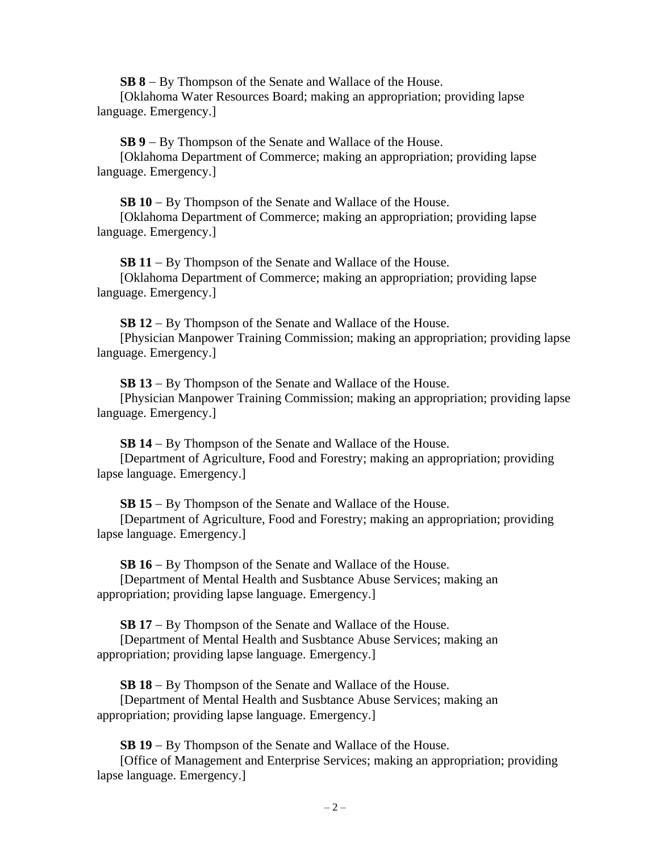**SB 8** − By Thompson of the Senate and Wallace of the House.

[Oklahoma Water Resources Board; making an appropriation; providing lapse language. Emergency.]

**SB 9** − By Thompson of the Senate and Wallace of the House.

[Oklahoma Department of Commerce; making an appropriation; providing lapse language. Emergency.]

**SB 10** − By Thompson of the Senate and Wallace of the House.

[Oklahoma Department of Commerce; making an appropriation; providing lapse language. Emergency.]

**SB 11** − By Thompson of the Senate and Wallace of the House. [Oklahoma Department of Commerce; making an appropriation; providing lapse language. Emergency.]

**SB 12** − By Thompson of the Senate and Wallace of the House. [Physician Manpower Training Commission; making an appropriation; providing lapse language. Emergency.]

**SB 13** − By Thompson of the Senate and Wallace of the House.

[Physician Manpower Training Commission; making an appropriation; providing lapse language. Emergency.]

**SB 14** − By Thompson of the Senate and Wallace of the House.

[Department of Agriculture, Food and Forestry; making an appropriation; providing lapse language. Emergency.]

**SB 15** − By Thompson of the Senate and Wallace of the House.

[Department of Agriculture, Food and Forestry; making an appropriation; providing lapse language. Emergency.]

**SB 16** − By Thompson of the Senate and Wallace of the House. [Department of Mental Health and Susbtance Abuse Services; making an appropriation; providing lapse language. Emergency.]

**SB 17** − By Thompson of the Senate and Wallace of the House.

[Department of Mental Health and Susbtance Abuse Services; making an appropriation; providing lapse language. Emergency.]

**SB 18** − By Thompson of the Senate and Wallace of the House. [Department of Mental Health and Susbtance Abuse Services; making an appropriation; providing lapse language. Emergency.]

**SB 19** − By Thompson of the Senate and Wallace of the House.

[Office of Management and Enterprise Services; making an appropriation; providing lapse language. Emergency.]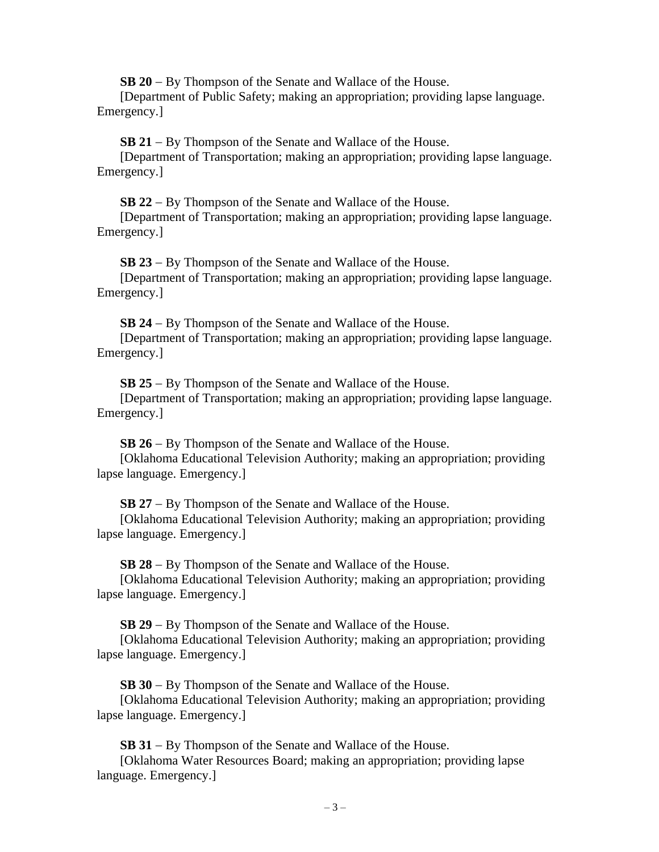**SB 20** − By Thompson of the Senate and Wallace of the House.

[Department of Public Safety; making an appropriation; providing lapse language. Emergency.]

**SB 21** − By Thompson of the Senate and Wallace of the House.

[Department of Transportation; making an appropriation; providing lapse language. Emergency.]

**SB 22** − By Thompson of the Senate and Wallace of the House.

[Department of Transportation; making an appropriation; providing lapse language. Emergency.]

**SB 23** − By Thompson of the Senate and Wallace of the House.

[Department of Transportation; making an appropriation; providing lapse language. Emergency.]

**SB 24** − By Thompson of the Senate and Wallace of the House.

[Department of Transportation; making an appropriation; providing lapse language. Emergency.]

**SB 25** − By Thompson of the Senate and Wallace of the House.

[Department of Transportation; making an appropriation; providing lapse language. Emergency.]

**SB 26** − By Thompson of the Senate and Wallace of the House.

[Oklahoma Educational Television Authority; making an appropriation; providing lapse language. Emergency.]

**SB 27** − By Thompson of the Senate and Wallace of the House.

[Oklahoma Educational Television Authority; making an appropriation; providing lapse language. Emergency.]

**SB 28** − By Thompson of the Senate and Wallace of the House.

[Oklahoma Educational Television Authority; making an appropriation; providing lapse language. Emergency.]

**SB 29** − By Thompson of the Senate and Wallace of the House.

[Oklahoma Educational Television Authority; making an appropriation; providing lapse language. Emergency.]

**SB 30** − By Thompson of the Senate and Wallace of the House.

[Oklahoma Educational Television Authority; making an appropriation; providing lapse language. Emergency.]

**SB 31** − By Thompson of the Senate and Wallace of the House.

[Oklahoma Water Resources Board; making an appropriation; providing lapse language. Emergency.]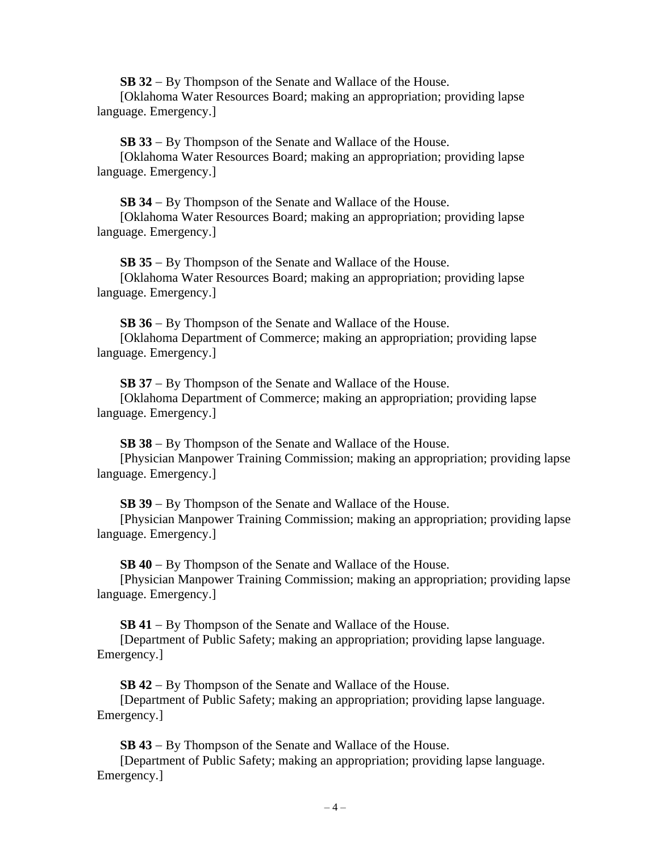**SB 32** − By Thompson of the Senate and Wallace of the House.

[Oklahoma Water Resources Board; making an appropriation; providing lapse language. Emergency.]

**SB 33** − By Thompson of the Senate and Wallace of the House.

[Oklahoma Water Resources Board; making an appropriation; providing lapse language. Emergency.]

**SB 34** − By Thompson of the Senate and Wallace of the House. [Oklahoma Water Resources Board; making an appropriation; providing lapse language. Emergency.]

**SB 35** − By Thompson of the Senate and Wallace of the House. [Oklahoma Water Resources Board; making an appropriation; providing lapse language. Emergency.]

**SB 36** − By Thompson of the Senate and Wallace of the House. [Oklahoma Department of Commerce; making an appropriation; providing lapse language. Emergency.]

**SB 37** − By Thompson of the Senate and Wallace of the House.

[Oklahoma Department of Commerce; making an appropriation; providing lapse language. Emergency.]

**SB 38** − By Thompson of the Senate and Wallace of the House.

[Physician Manpower Training Commission; making an appropriation; providing lapse language. Emergency.]

**SB 39** − By Thompson of the Senate and Wallace of the House.

[Physician Manpower Training Commission; making an appropriation; providing lapse language. Emergency.]

**SB 40** − By Thompson of the Senate and Wallace of the House.

[Physician Manpower Training Commission; making an appropriation; providing lapse language. Emergency.]

**SB 41** − By Thompson of the Senate and Wallace of the House.

[Department of Public Safety; making an appropriation; providing lapse language. Emergency.]

**SB 42** − By Thompson of the Senate and Wallace of the House.

[Department of Public Safety; making an appropriation; providing lapse language. Emergency.]

**SB 43** − By Thompson of the Senate and Wallace of the House.

[Department of Public Safety; making an appropriation; providing lapse language. Emergency.]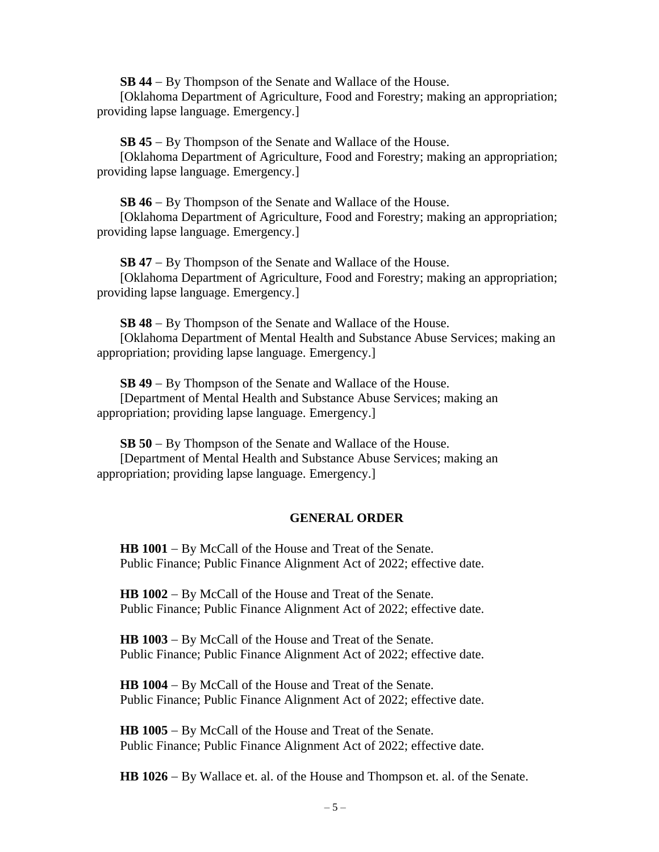**SB 44** − By Thompson of the Senate and Wallace of the House.

[Oklahoma Department of Agriculture, Food and Forestry; making an appropriation; providing lapse language. Emergency.]

**SB 45** − By Thompson of the Senate and Wallace of the House.

[Oklahoma Department of Agriculture, Food and Forestry; making an appropriation; providing lapse language. Emergency.]

**SB 46** − By Thompson of the Senate and Wallace of the House.

[Oklahoma Department of Agriculture, Food and Forestry; making an appropriation; providing lapse language. Emergency.]

**SB 47** − By Thompson of the Senate and Wallace of the House. [Oklahoma Department of Agriculture, Food and Forestry; making an appropriation; providing lapse language. Emergency.]

**SB 48** − By Thompson of the Senate and Wallace of the House. [Oklahoma Department of Mental Health and Substance Abuse Services; making an appropriation; providing lapse language. Emergency.]

**SB 49** − By Thompson of the Senate and Wallace of the House. [Department of Mental Health and Substance Abuse Services; making an appropriation; providing lapse language. Emergency.]

**SB 50** − By Thompson of the Senate and Wallace of the House.

[Department of Mental Health and Substance Abuse Services; making an appropriation; providing lapse language. Emergency.]

## **GENERAL ORDER**

**HB 1001** − By McCall of the House and Treat of the Senate. Public Finance; Public Finance Alignment Act of 2022; effective date.

**HB 1002** − By McCall of the House and Treat of the Senate. Public Finance; Public Finance Alignment Act of 2022; effective date.

**HB 1003** − By McCall of the House and Treat of the Senate. Public Finance; Public Finance Alignment Act of 2022; effective date.

**HB 1004** − By McCall of the House and Treat of the Senate. Public Finance; Public Finance Alignment Act of 2022; effective date.

**HB 1005** − By McCall of the House and Treat of the Senate. Public Finance; Public Finance Alignment Act of 2022; effective date.

**HB 1026** − By Wallace et. al. of the House and Thompson et. al. of the Senate.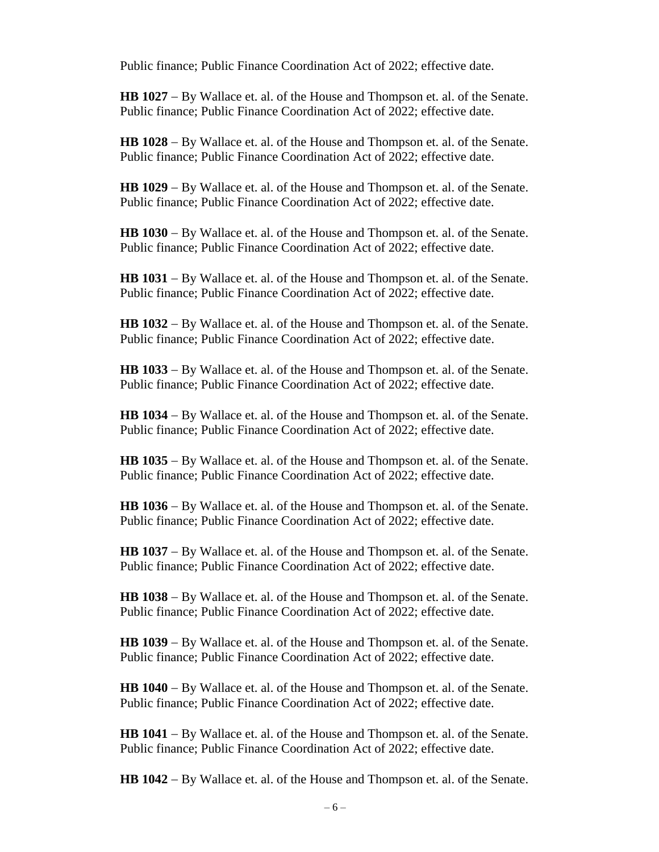Public finance; Public Finance Coordination Act of 2022; effective date.

**HB 1027** − By Wallace et. al. of the House and Thompson et. al. of the Senate. Public finance; Public Finance Coordination Act of 2022; effective date.

**HB 1028** − By Wallace et. al. of the House and Thompson et. al. of the Senate. Public finance; Public Finance Coordination Act of 2022; effective date.

**HB 1029** − By Wallace et. al. of the House and Thompson et. al. of the Senate. Public finance; Public Finance Coordination Act of 2022; effective date.

**HB 1030** − By Wallace et. al. of the House and Thompson et. al. of the Senate. Public finance; Public Finance Coordination Act of 2022; effective date.

**HB 1031** − By Wallace et. al. of the House and Thompson et. al. of the Senate. Public finance; Public Finance Coordination Act of 2022; effective date.

**HB 1032** − By Wallace et. al. of the House and Thompson et. al. of the Senate. Public finance; Public Finance Coordination Act of 2022; effective date.

**HB 1033** − By Wallace et. al. of the House and Thompson et. al. of the Senate. Public finance; Public Finance Coordination Act of 2022; effective date.

**HB 1034** − By Wallace et. al. of the House and Thompson et. al. of the Senate. Public finance; Public Finance Coordination Act of 2022; effective date.

**HB 1035** − By Wallace et. al. of the House and Thompson et. al. of the Senate. Public finance; Public Finance Coordination Act of 2022; effective date.

**HB 1036** − By Wallace et. al. of the House and Thompson et. al. of the Senate. Public finance; Public Finance Coordination Act of 2022; effective date.

**HB 1037** − By Wallace et. al. of the House and Thompson et. al. of the Senate. Public finance; Public Finance Coordination Act of 2022; effective date.

**HB 1038** − By Wallace et. al. of the House and Thompson et. al. of the Senate. Public finance; Public Finance Coordination Act of 2022; effective date.

**HB 1039** − By Wallace et. al. of the House and Thompson et. al. of the Senate. Public finance; Public Finance Coordination Act of 2022; effective date.

**HB 1040** − By Wallace et. al. of the House and Thompson et. al. of the Senate. Public finance; Public Finance Coordination Act of 2022; effective date.

**HB 1041** − By Wallace et. al. of the House and Thompson et. al. of the Senate. Public finance; Public Finance Coordination Act of 2022; effective date.

**HB 1042** − By Wallace et. al. of the House and Thompson et. al. of the Senate.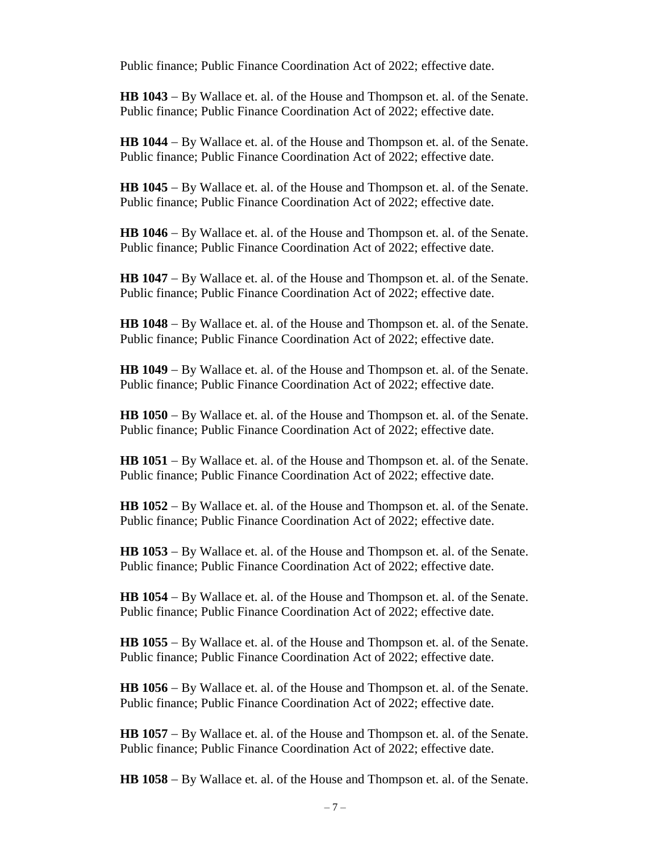Public finance; Public Finance Coordination Act of 2022; effective date.

**HB 1043** − By Wallace et. al. of the House and Thompson et. al. of the Senate. Public finance; Public Finance Coordination Act of 2022; effective date.

**HB 1044** − By Wallace et. al. of the House and Thompson et. al. of the Senate. Public finance; Public Finance Coordination Act of 2022; effective date.

**HB 1045** − By Wallace et. al. of the House and Thompson et. al. of the Senate. Public finance; Public Finance Coordination Act of 2022; effective date.

**HB 1046** − By Wallace et. al. of the House and Thompson et. al. of the Senate. Public finance; Public Finance Coordination Act of 2022; effective date.

**HB 1047** − By Wallace et. al. of the House and Thompson et. al. of the Senate. Public finance; Public Finance Coordination Act of 2022; effective date.

**HB 1048** − By Wallace et. al. of the House and Thompson et. al. of the Senate. Public finance; Public Finance Coordination Act of 2022; effective date.

**HB 1049** − By Wallace et. al. of the House and Thompson et. al. of the Senate. Public finance; Public Finance Coordination Act of 2022; effective date.

**HB 1050** − By Wallace et. al. of the House and Thompson et. al. of the Senate. Public finance; Public Finance Coordination Act of 2022; effective date.

**HB 1051** − By Wallace et. al. of the House and Thompson et. al. of the Senate. Public finance; Public Finance Coordination Act of 2022; effective date.

**HB 1052** − By Wallace et. al. of the House and Thompson et. al. of the Senate. Public finance; Public Finance Coordination Act of 2022; effective date.

**HB 1053** − By Wallace et. al. of the House and Thompson et. al. of the Senate. Public finance; Public Finance Coordination Act of 2022; effective date.

**HB 1054** − By Wallace et. al. of the House and Thompson et. al. of the Senate. Public finance; Public Finance Coordination Act of 2022; effective date.

**HB 1055** − By Wallace et. al. of the House and Thompson et. al. of the Senate. Public finance; Public Finance Coordination Act of 2022; effective date.

**HB 1056** − By Wallace et. al. of the House and Thompson et. al. of the Senate. Public finance; Public Finance Coordination Act of 2022; effective date.

**HB 1057** − By Wallace et. al. of the House and Thompson et. al. of the Senate. Public finance; Public Finance Coordination Act of 2022; effective date.

**HB 1058** − By Wallace et. al. of the House and Thompson et. al. of the Senate.